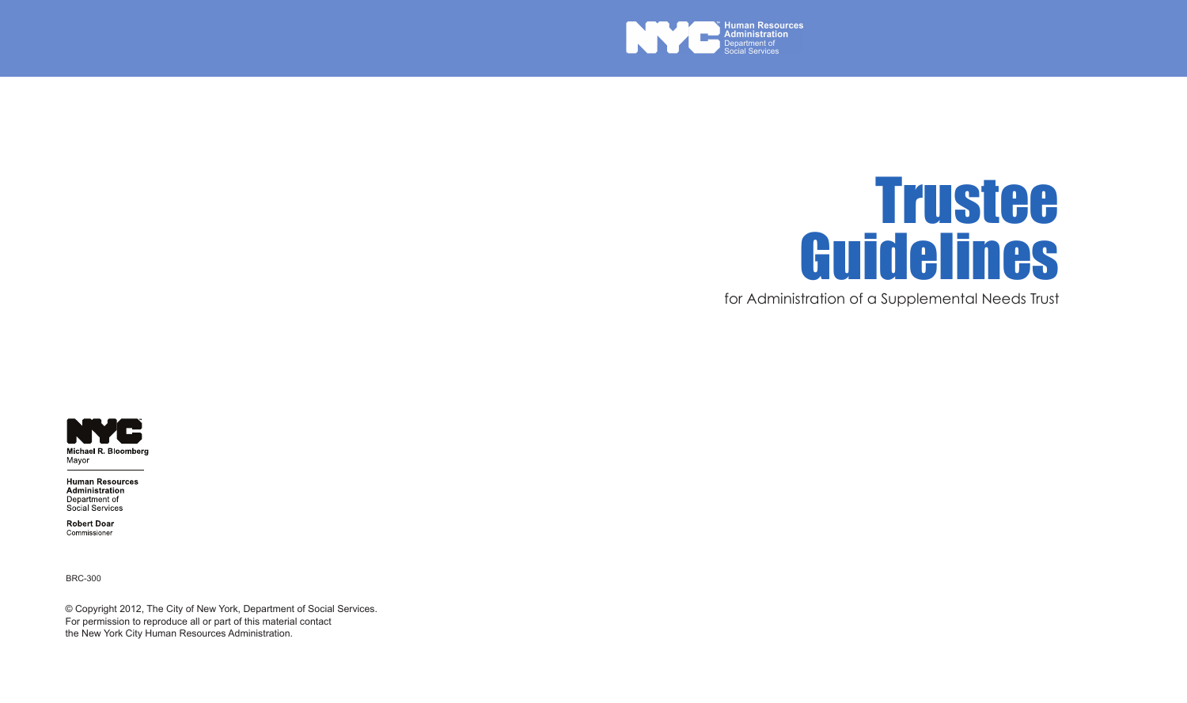



for Administration of a Supplemental Needs Trust



**Human Resources** Administration Department of Social Services

**Robert Doar** Commissioner

BRC-300

© Copyright 2012, The City of New York, Department of Social Services. For permission to reproduce all or part of this material contact the New York City Human Resources Administration.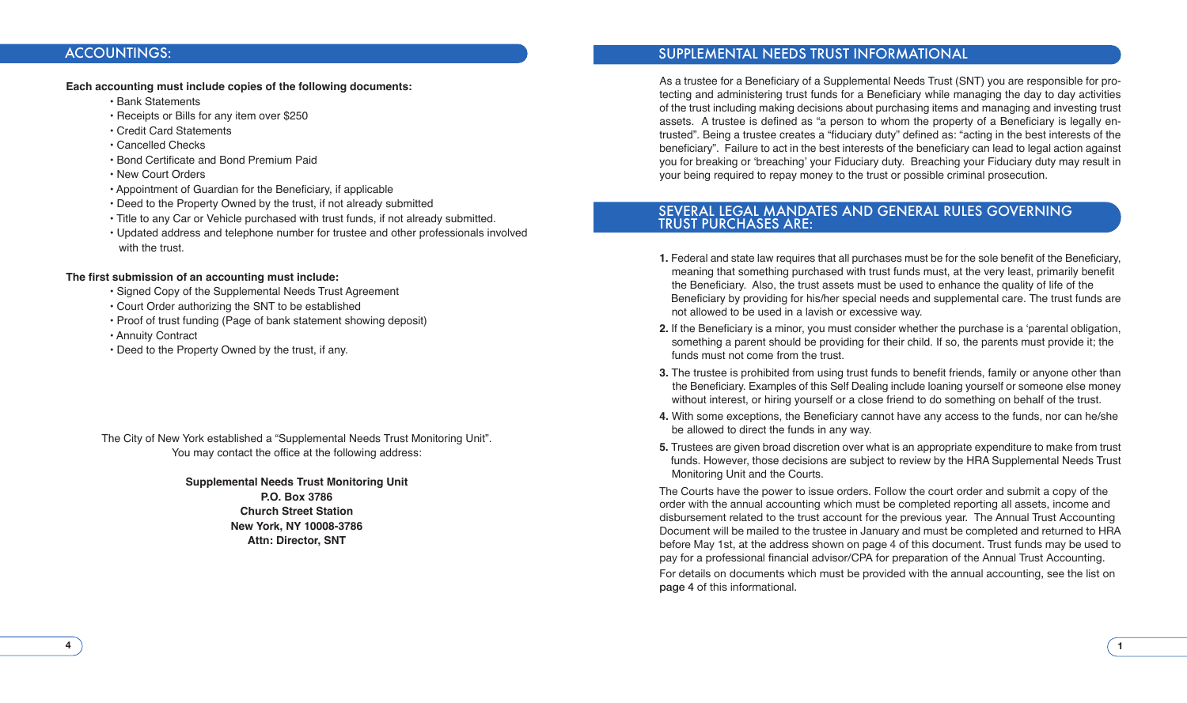### ACCOUNTINGS:

#### **Each accounting must include copies of the following documents:**

• Bank Statements

- Receipts or Bills for any item over \$250
- Credit Card Statements
- Cancelled Checks
- Bond Certificate and Bond Premium Paid
- New Court Orders
- Appointment of Guardian for the Beneficiary, if applicable
- Deed to the Property Owned by the trust, if not already submitted
- Title to any Car or Vehicle purchased with trust funds, if not already submitted.
- Updated address and telephone number for trustee and other professionals involved with the trust.

#### **The first submission of an accounting must include:**

- Signed Copy of the Supplemental Needs Trust Agreement
- Court Order authorizing the SNT to be established
- Proof of trust funding (Page of bank statement showing deposit)
- Annuity Contract
- Deed to the Property Owned by the trust, if any.

The City of New York established a "Supplemental Needs Trust Monitoring Unit". You may contact the office at the following address:

**Supplemental Needs Trust Monitoring Unit**

**P.O. Box 3786 Church Street Station New York, NY 10008-3786 Attn: Director, SNT**

### SUPPLEMENTAL NEEDS TRUST INFORMATIONAL

As a trustee for a Beneficiary of a Supplemental Needs Trust (SNT) you are responsible for protecting and administering trust funds for a Beneficiary while managing the day to day activities of the trust including making decisions about purchasing items and managing and investing trust assets. A trustee is defined as "a person to whom the property of a Beneficiary is legally entrusted". Being a trustee creates a "fiduciary duty" defined as: "acting in the best interests of the beneficiary". Failure to act in the best interests of the beneficiary can lead to legal action against you for breaking or 'breaching' your Fiduciary duty. Breaching your Fiduciary duty may result in your being required to repay money to the trust or possible criminal prosecution.

### SEVERAL LEGAL MANDATES AND GENERAL RULES GOVERNING TRUST PURCHASES ARE:

- **1.** Federal and state law requires that all purchases must be for the sole benefit of the Beneficiary, meaning that something purchased with trust funds must, at the very least, primarily benefit the Beneficiary. Also, the trust assets must be used to enhance the quality of life of the Beneficiary by providing for his/her special needs and supplemental care. The trust funds are not allowed to be used in a lavish or excessive way.
- **2.** If the Beneficiary is a minor, you must consider whether the purchase is a 'parental obligation, something a parent should be providing for their child. If so, the parents must provide it; the funds must not come from the trust.
- **3.** The trustee is prohibited from using trust funds to benefit friends, family or anyone other than the Beneficiary. Examples of this Self Dealing include loaning yourself or someone else money without interest, or hiring yourself or a close friend to do something on behalf of the trust.
- **4.** With some exceptions, the Beneficiary cannot have any access to the funds, nor can he/she be allowed to direct the funds in any way.
- **5.** Trustees are given broad discretion over what is an appropriate expenditure to make from trust funds. However, those decisions are subject to review by the HRA Supplemental Needs Trust Monitoring Unit and the Courts.

The Courts have the power to issue orders. Follow the court order and submit a copy of the order with the annual accounting which must be completed reporting all assets, income and disbursement related to the trust account for the previous year. The Annual Trust Accounting Document will be mailed to the trustee in January and must be completed and returned to HRA before May 1st, at the address shown on page 4 of this document. Trust funds may be used to pay for a professional financial advisor/CPA for preparation of the Annual Trust Accounting.

For details on documents which must be provided with the annual accounting, see the list on page 4 of this informational.